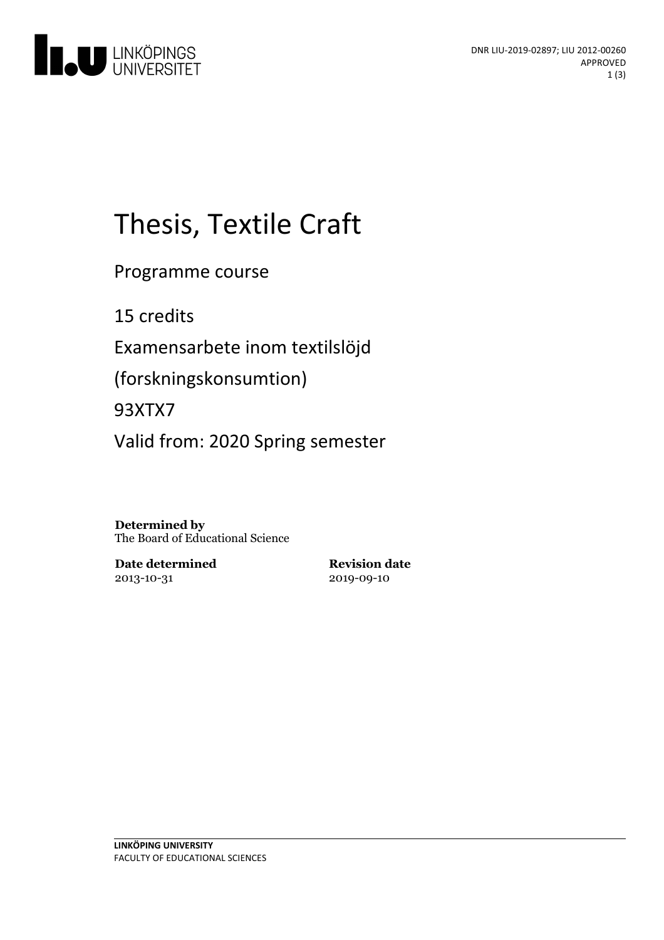

# Thesis, Textile Craft

Programme course

15 credits

Examensarbete inom textilslöjd

(forskningskonsumtion)

93XTX7

Valid from: 2020 Spring semester

**Determined by** The Board of Educational Science

**Date determined** 2013-10-31

**Revision date** 2019-09-10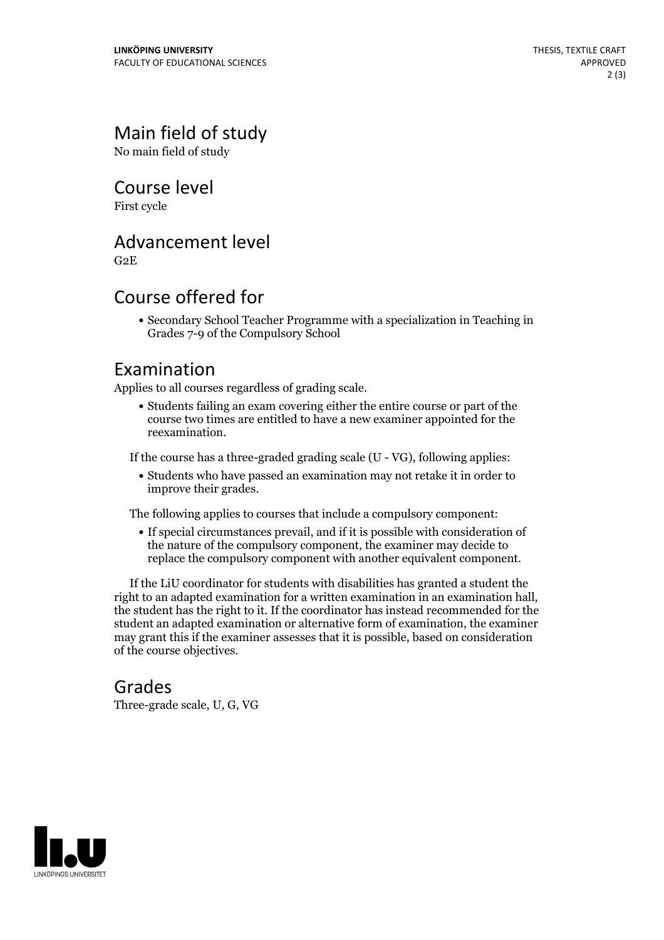## Main field of study

No main field of study

Course level

First cycle

#### Advancement level

G2E

#### Course offered for

Secondary School Teacher Programme with a specialization in Teaching in Grades 7-9 of the Compulsory School

#### Examination

Applies to all courses regardless of grading scale.

Students failing an exam covering either the entire course or part of the course two times are entitled to have a new examiner appointed for the reexamination.

If the course has a three-graded grading scale (U - VG), following applies:

Students who have passed an examination may not retake it in order to improve their grades.

The following applies to courses that include a compulsory component:

If special circumstances prevail, and if it is possible with consideration of the nature of the compulsory component, the examiner may decide to replace the compulsory component with another equivalent component.

If the LiU coordinator for students with disabilities has granted a student the right to an adapted examination for <sup>a</sup> written examination in an examination hall, the student has the right to it. If the coordinator has instead recommended for the student an adapted examination or alternative form of examination, the examiner may grant this if the examiner assesses that it is possible, based on consideration of the course objectives.

#### Grades

Three-grade scale, U, G, VG